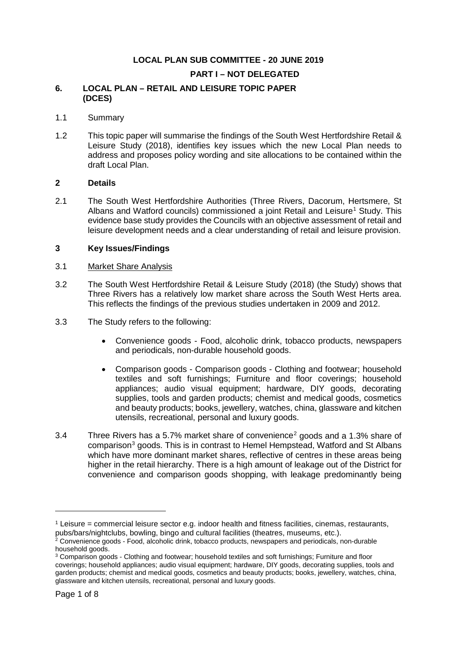# **LOCAL PLAN SUB COMMITTEE - 20 JUNE 2019**

#### **PART I – NOT DELEGATED**

#### **6. LOCAL PLAN – RETAIL AND LEISURE TOPIC PAPER (DCES)**

#### 1.1 Summary

1.2 This topic paper will summarise the findings of the South West Hertfordshire Retail & Leisure Study (2018), identifies key issues which the new Local Plan needs to address and proposes policy wording and site allocations to be contained within the draft Local Plan.

#### **2 Details**

2.1 The South West Hertfordshire Authorities (Three Rivers, Dacorum, Hertsmere, St Albans and Watford councils) commissioned a joint Retail and Leisure<sup>[1](#page-0-0)</sup> Study. This evidence base study provides the Councils with an objective assessment of retail and leisure development needs and a clear understanding of retail and leisure provision.

#### **3 Key Issues/Findings**

#### 3.1 Market Share Analysis

- 3.2 The South West Hertfordshire Retail & Leisure Study (2018) (the Study) shows that Three Rivers has a relatively low market share across the South West Herts area. This reflects the findings of the previous studies undertaken in 2009 and 2012.
- 3.3 The Study refers to the following:
	- Convenience goods Food, alcoholic drink, tobacco products, newspapers and periodicals, non-durable household goods.
	- Comparison goods Comparison goods Clothing and footwear; household textiles and soft furnishings; Furniture and floor coverings; household appliances; audio visual equipment; hardware, DIY goods, decorating supplies, tools and garden products; chemist and medical goods, cosmetics and beauty products; books, jewellery, watches, china, glassware and kitchen utensils, recreational, personal and luxury goods.
- 3.4 Three Rivers has a 5.7% market share of convenience<sup>[2](#page-0-1)</sup> goods and a 1.3% share of comparison<sup>[3](#page-0-2)</sup> goods. This is in contrast to Hemel Hempstead, Watford and St Albans which have more dominant market shares, reflective of centres in these areas being higher in the retail hierarchy. There is a high amount of leakage out of the District for convenience and comparison goods shopping, with leakage predominantly being

<span id="page-0-0"></span> $1$  Leisure = commercial leisure sector e.g. indoor health and fitness facilities, cinemas, restaurants, pubs/bars/nightclubs, bowling, bingo and cultural facilities (theatres, museums, etc.).

<span id="page-0-1"></span><sup>2</sup> Convenience goods - Food, alcoholic drink, tobacco products, newspapers and periodicals, non-durable household goods.

<span id="page-0-2"></span><sup>3</sup> Comparison goods - Clothing and footwear; household textiles and soft furnishings; Furniture and floor coverings; household appliances; audio visual equipment; hardware, DIY goods, decorating supplies, tools and garden products; chemist and medical goods, cosmetics and beauty products; books, jewellery, watches, china, glassware and kitchen utensils, recreational, personal and luxury goods.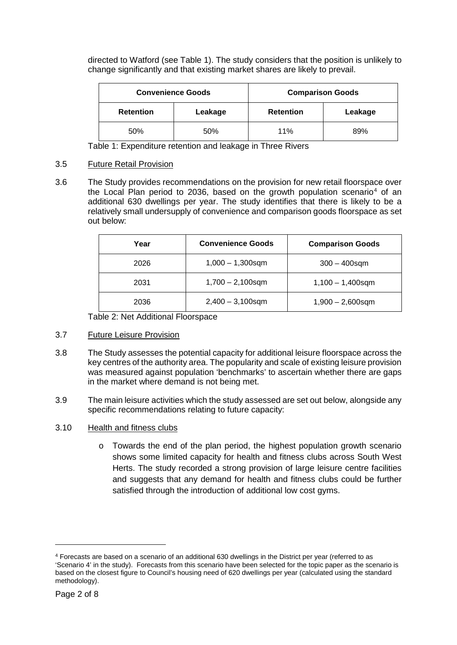directed to Watford (see Table 1). The study considers that the position is unlikely to change significantly and that existing market shares are likely to prevail.

| <b>Convenience Goods</b> |         | <b>Comparison Goods</b> |         |  |
|--------------------------|---------|-------------------------|---------|--|
| <b>Retention</b>         | Leakage | <b>Retention</b>        | Leakage |  |
| 50%                      | 50%     | 11%                     | 89%     |  |

Table 1: Expenditure retention and leakage in Three Rivers

# 3.5 Future Retail Provision

3.6 The Study provides recommendations on the provision for new retail floorspace over the Local Plan period to 2036, based on the growth population scenario<sup>[4](#page-1-0)</sup> of an additional 630 dwellings per year. The study identifies that there is likely to be a relatively small undersupply of convenience and comparison goods floorspace as set out below:

| Year | <b>Convenience Goods</b> | <b>Comparison Goods</b> |  |  |
|------|--------------------------|-------------------------|--|--|
| 2026 | $1,000 - 1,300$ sqm      | $300 - 400$ sqm         |  |  |
| 2031 | $1,700 - 2,100$ sqm      | $1,100 - 1,400$ sqm     |  |  |
| 2036 | $2,400 - 3,100$ sqm      | $1,900 - 2,600$ sqm     |  |  |

Table 2: Net Additional Floorspace

- 3.7 Future Leisure Provision
- 3.8 The Study assesses the potential capacity for additional leisure floorspace across the key centres of the authority area. The popularity and scale of existing leisure provision was measured against population 'benchmarks' to ascertain whether there are gaps in the market where demand is not being met.
- 3.9 The main leisure activities which the study assessed are set out below, alongside any specific recommendations relating to future capacity:
- 3.10 Health and fitness clubs
	- o Towards the end of the plan period, the highest population growth scenario shows some limited capacity for health and fitness clubs across South West Herts. The study recorded a strong provision of large leisure centre facilities and suggests that any demand for health and fitness clubs could be further satisfied through the introduction of additional low cost gyms.

<span id="page-1-0"></span><sup>4</sup> Forecasts are based on a scenario of an additional 630 dwellings in the District per year (referred to as 'Scenario 4' in the study). Forecasts from this scenario have been selected for the topic paper as the scenario is based on the closest figure to Council's housing need of 620 dwellings per year (calculated using the standard methodology).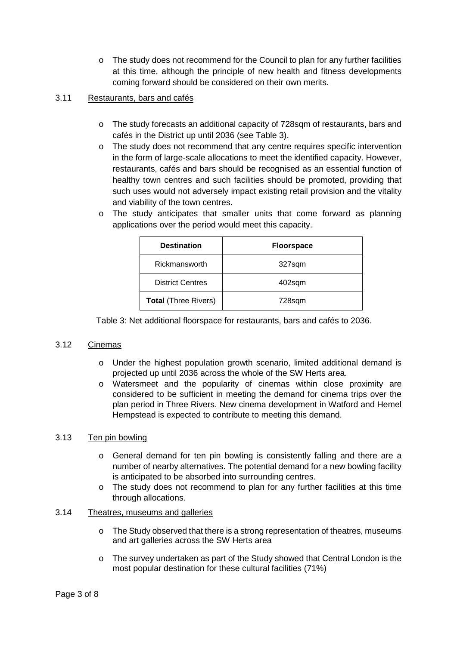$\circ$  The study does not recommend for the Council to plan for any further facilities at this time, although the principle of new health and fitness developments coming forward should be considered on their own merits.

# 3.11 Restaurants, bars and cafés

- o The study forecasts an additional capacity of 728sqm of restaurants, bars and cafés in the District up until 2036 (see Table 3).
- o The study does not recommend that any centre requires specific intervention in the form of large-scale allocations to meet the identified capacity. However, restaurants, cafés and bars should be recognised as an essential function of healthy town centres and such facilities should be promoted, providing that such uses would not adversely impact existing retail provision and the vitality and viability of the town centres.
- o The study anticipates that smaller units that come forward as planning applications over the period would meet this capacity.

| <b>Destination</b>          | <b>Floorspace</b> |  |  |
|-----------------------------|-------------------|--|--|
| Rickmansworth               | 327sqm            |  |  |
| <b>District Centres</b>     | 402sqm            |  |  |
| <b>Total (Three Rivers)</b> | 728sqm            |  |  |

Table 3: Net additional floorspace for restaurants, bars and cafés to 2036.

# 3.12 Cinemas

- o Under the highest population growth scenario, limited additional demand is projected up until 2036 across the whole of the SW Herts area.
- o Watersmeet and the popularity of cinemas within close proximity are considered to be sufficient in meeting the demand for cinema trips over the plan period in Three Rivers. New cinema development in Watford and Hemel Hempstead is expected to contribute to meeting this demand.

# 3.13 Ten pin bowling

- o General demand for ten pin bowling is consistently falling and there are a number of nearby alternatives. The potential demand for a new bowling facility is anticipated to be absorbed into surrounding centres.
- o The study does not recommend to plan for any further facilities at this time through allocations.

# 3.14 Theatres, museums and galleries

- o The Study observed that there is a strong representation of theatres, museums and art galleries across the SW Herts area
- o The survey undertaken as part of the Study showed that Central London is the most popular destination for these cultural facilities (71%)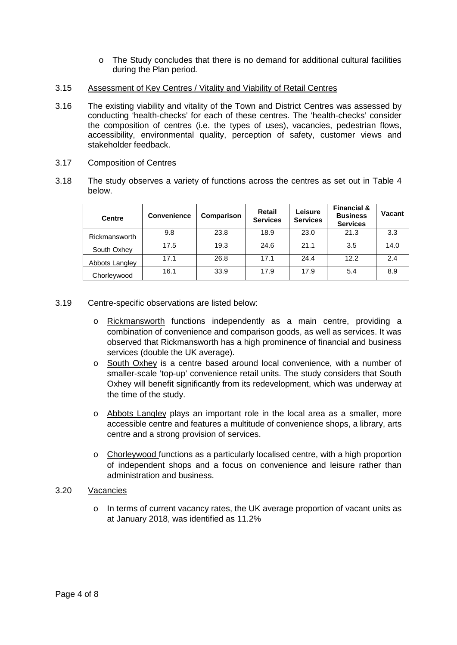- o The Study concludes that there is no demand for additional cultural facilities during the Plan period.
- 3.15 Assessment of Key Centres / Vitality and Viability of Retail Centres
- 3.16 The existing viability and vitality of the Town and District Centres was assessed by conducting 'health-checks' for each of these centres. The 'health-checks' consider the composition of centres (i.e. the types of uses), vacancies, pedestrian flows, accessibility, environmental quality, perception of safety, customer views and stakeholder feedback.

#### 3.17 Composition of Centres

3.18 The study observes a variety of functions across the centres as set out in Table 4 below.

| <b>Centre</b>  | <b>Convenience</b> | Comparison | <b>Retail</b><br><b>Services</b> | Leisure<br><b>Services</b> | <b>Financial &amp;</b><br><b>Business</b><br><b>Services</b> | Vacant |
|----------------|--------------------|------------|----------------------------------|----------------------------|--------------------------------------------------------------|--------|
| Rickmansworth  | 9.8                | 23.8       | 18.9                             | 23.0                       | 21.3                                                         | 3.3    |
| South Oxhey    | 17.5               | 19.3       | 24.6                             | 21.1                       | 3.5                                                          | 14.0   |
| Abbots Langley | 17.1               | 26.8       | 17.1                             | 24.4                       | 12.2                                                         | 2.4    |
| Chorleywood    | 16.1               | 33.9       | 17.9                             | 17.9                       | 5.4                                                          | 8.9    |

# 3.19 Centre-specific observations are listed below:

- o Rickmansworth functions independently as a main centre, providing a combination of convenience and comparison goods, as well as services. It was observed that Rickmansworth has a high prominence of financial and business services (double the UK average).
- o South Oxhey is a centre based around local convenience, with a number of smaller-scale 'top-up' convenience retail units. The study considers that South Oxhey will benefit significantly from its redevelopment, which was underway at the time of the study.
- o Abbots Langley plays an important role in the local area as a smaller, more accessible centre and features a multitude of convenience shops, a library, arts centre and a strong provision of services.
- $\circ$  Chorleywood functions as a particularly localised centre, with a high proportion of independent shops and a focus on convenience and leisure rather than administration and business.

#### 3.20 Vacancies

 $\circ$  In terms of current vacancy rates, the UK average proportion of vacant units as at January 2018, was identified as 11.2%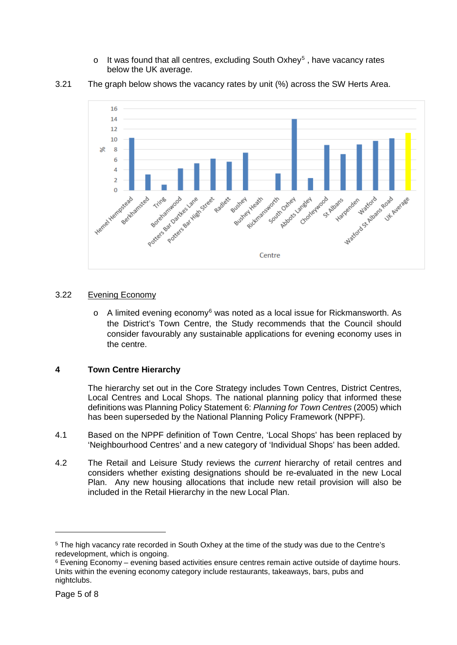$\circ$  It was found that all centres, excluding South Oxhey<sup>[5](#page-4-0)</sup>, have vacancy rates below the UK average.



3.21 The graph below shows the vacancy rates by unit (%) across the SW Herts Area.

# 3.22 Evening Economy

 $\circ$  A limited evening economy<sup>[6](#page-4-1)</sup> was noted as a local issue for Rickmansworth. As the District's Town Centre, the Study recommends that the Council should consider favourably any sustainable applications for evening economy uses in the centre.

# **4 Town Centre Hierarchy**

The hierarchy set out in the Core Strategy includes Town Centres, District Centres, Local Centres and Local Shops. The national planning policy that informed these definitions was Planning Policy Statement 6: *Planning for Town Centres* (2005) which has been superseded by the National Planning Policy Framework (NPPF).

- 4.1 Based on the NPPF definition of Town Centre, 'Local Shops' has been replaced by 'Neighbourhood Centres' and a new category of 'Individual Shops' has been added.
- 4.2 The Retail and Leisure Study reviews the *current* hierarchy of retail centres and considers whether existing designations should be re-evaluated in the new Local Plan. Any new housing allocations that include new retail provision will also be included in the Retail Hierarchy in the new Local Plan.

<span id="page-4-0"></span><sup>5</sup> The high vacancy rate recorded in South Oxhey at the time of the study was due to the Centre's redevelopment, which is ongoing.

<span id="page-4-1"></span> $6$  Evening Economy – evening based activities ensure centres remain active outside of daytime hours. Units within the evening economy category include restaurants, takeaways, bars, pubs and nightclubs.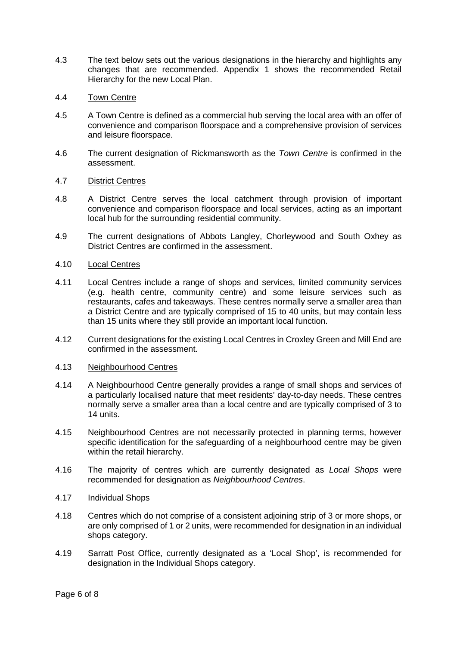- 4.3 The text below sets out the various designations in the hierarchy and highlights any changes that are recommended. Appendix 1 shows the recommended Retail Hierarchy for the new Local Plan.
- 4.4 Town Centre
- 4.5 A Town Centre is defined as a commercial hub serving the local area with an offer of convenience and comparison floorspace and a comprehensive provision of services and leisure floorspace.
- 4.6 The current designation of Rickmansworth as the *Town Centre* is confirmed in the assessment.
- 4.7 District Centres
- 4.8 A District Centre serves the local catchment through provision of important convenience and comparison floorspace and local services, acting as an important local hub for the surrounding residential community.
- 4.9 The current designations of Abbots Langley, Chorleywood and South Oxhey as District Centres are confirmed in the assessment.
- 4.10 Local Centres
- 4.11 Local Centres include a range of shops and services, limited community services (e.g. health centre, community centre) and some leisure services such as restaurants, cafes and takeaways. These centres normally serve a smaller area than a District Centre and are typically comprised of 15 to 40 units, but may contain less than 15 units where they still provide an important local function.
- 4.12 Current designations for the existing Local Centres in Croxley Green and Mill End are confirmed in the assessment.
- 4.13 Neighbourhood Centres
- 4.14 A Neighbourhood Centre generally provides a range of small shops and services of a particularly localised nature that meet residents' day-to-day needs. These centres normally serve a smaller area than a local centre and are typically comprised of 3 to 14 units.
- 4.15 Neighbourhood Centres are not necessarily protected in planning terms, however specific identification for the safeguarding of a neighbourhood centre may be given within the retail hierarchy.
- 4.16 The majority of centres which are currently designated as *Local Shops* were recommended for designation as *Neighbourhood Centres*.
- 4.17 Individual Shops
- 4.18 Centres which do not comprise of a consistent adjoining strip of 3 or more shops, or are only comprised of 1 or 2 units, were recommended for designation in an individual shops category.
- 4.19 Sarratt Post Office, currently designated as a 'Local Shop', is recommended for designation in the Individual Shops category.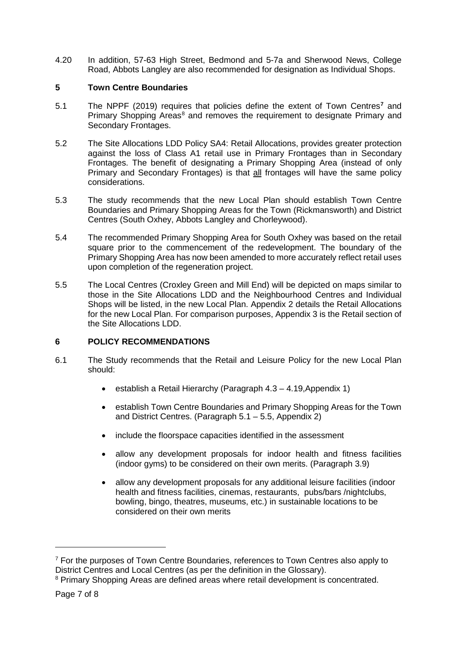4.20 In addition, 57-63 High Street, Bedmond and 5-7a and Sherwood News, College Road, Abbots Langley are also recommended for designation as Individual Shops.

#### **5 Town Centre Boundaries**

- 5.1 The NPPF (2019) requires that policies define the extent of Town Centres**[7](#page-6-0)** and Primary Shopping Areas<sup>[8](#page-6-1)</sup> and removes the requirement to designate Primary and Secondary Frontages.
- 5.2 The Site Allocations LDD Policy SA4: Retail Allocations, provides greater protection against the loss of Class A1 retail use in Primary Frontages than in Secondary Frontages. The benefit of designating a Primary Shopping Area (instead of only Primary and Secondary Frontages) is that all frontages will have the same policy considerations.
- 5.3 The study recommends that the new Local Plan should establish Town Centre Boundaries and Primary Shopping Areas for the Town (Rickmansworth) and District Centres (South Oxhey, Abbots Langley and Chorleywood).
- 5.4 The recommended Primary Shopping Area for South Oxhey was based on the retail square prior to the commencement of the redevelopment. The boundary of the Primary Shopping Area has now been amended to more accurately reflect retail uses upon completion of the regeneration project.
- 5.5 The Local Centres (Croxley Green and Mill End) will be depicted on maps similar to those in the Site Allocations LDD and the Neighbourhood Centres and Individual Shops will be listed, in the new Local Plan. Appendix 2 details the Retail Allocations for the new Local Plan. For comparison purposes, Appendix 3 is the Retail section of the Site Allocations LDD.

# **6 POLICY RECOMMENDATIONS**

- 6.1 The Study recommends that the Retail and Leisure Policy for the new Local Plan should:
	- establish a Retail Hierarchy (Paragraph 4.3 4.19,Appendix 1)
	- establish Town Centre Boundaries and Primary Shopping Areas for the Town and District Centres. (Paragraph 5.1 – 5.5, Appendix 2)
	- include the floorspace capacities identified in the assessment
	- allow any development proposals for indoor health and fitness facilities (indoor gyms) to be considered on their own merits. (Paragraph 3.9)
	- allow any development proposals for any additional leisure facilities (indoor health and fitness facilities, cinemas, restaurants, pubs/bars /nightclubs, bowling, bingo, theatres, museums, etc.) in sustainable locations to be considered on their own merits

<span id="page-6-0"></span> $7$  For the purposes of Town Centre Boundaries, references to Town Centres also apply to District Centres and Local Centres (as per the definition in the Glossary).<br><sup>8</sup> Primary Shopping Areas are defined areas where retail development is concentrated.

<span id="page-6-1"></span>